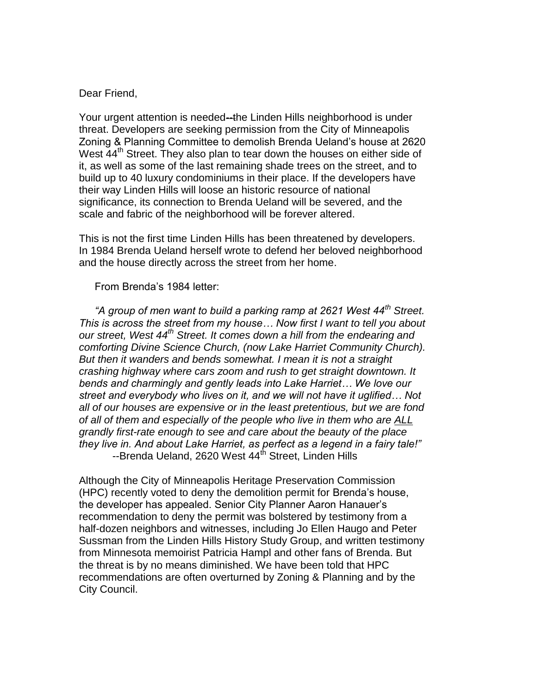## Dear Friend,

Your urgent attention is needed--the Linden Hills neighborhood is under threat. Developers are seeking permission from the City of Minneapolis Zoning & Planning Committee to demolish Brenda Ueland's house at 2620 West  $44<sup>th</sup>$  Street. They also plan to tear down the houses on either side of it, as well as some of the last remaining shade trees on the street, and to build up to 40 luxury condominiums in their place. If the developers have their way Linden Hills will loose an historic resource of national significance, its connection to Brenda Ueland will be severed, and the scale and fabric of the neighborhood will be forever altered.

This is not the first time Linden Hills has been threatened by developers. In 1984 Brenda Ueland herself wrote to defend her beloved neighborhood and the house directly across the street from her home.

## From Brenda's 1984 letter:

*"A group of men want to build a parking ramp at 2621 West 44th Street. This is across the street from my house… Now first I want to tell you about our street, West 44th Street. It comes down a hill from the endearing and comforting Divine Science Church, (now Lake Harriet Community Church). But then it wanders and bends somewhat. I mean it is not a straight crashing highway where cars zoom and rush to get straight downtown. It bends and charmingly and gently leads into Lake Harriet… We love our street and everybody who lives on it, and we will not have it uglified… Not all of our houses are expensive or in the least pretentious, but we are fond of all of them and especially of the people who live in them who are ALL grandly first-rate enough to see and care about the beauty of the place they live in. And about Lake Harriet, as perfect as a legend in a fairy tale!"* --Brenda Ueland, 2620 West 44<sup>th</sup> Street, Linden Hills

Although the City of Minneapolis Heritage Preservation Commission (HPC) recently voted to deny the demolition permit for Brenda's house, the developer has appealed. Senior City Planner Aaron Hanauer's recommendation to deny the permit was bolstered by testimony from a half-dozen neighbors and witnesses, including Jo Ellen Haugo and Peter Sussman from the Linden Hills History Study Group, and written testimony from Minnesota memoirist Patricia Hampl and other fans of Brenda. But the threat is by no means diminished. We have been told that HPC recommendations are often overturned by Zoning & Planning and by the City Council.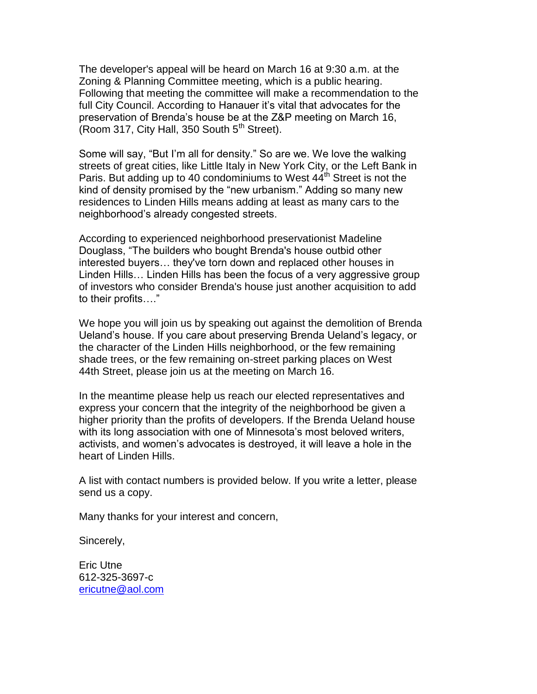The developer's appeal will be heard on March 16 at 9:30 a.m. at the Zoning & Planning Committee meeting, which is a public hearing. Following that meeting the committee will make a recommendation to the full City Council. According to Hanauer it's vital that advocates for the preservation of Brenda's house be at the Z&P meeting on March 16, (Room 317, City Hall, 350 South  $5<sup>th</sup>$  Street).

Some will say, "But I'm all for density." So are we. We love the walking streets of great cities, like Little Italy in New York City, or the Left Bank in Paris. But adding up to 40 condominiums to West  $44<sup>th</sup>$  Street is not the kind of density promised by the "new urbanism." Adding so many new residences to Linden Hills means adding at least as many cars to the neighborhood's already congested streets.

According to experienced neighborhood preservationist Madeline Douglass, "The builders who bought Brenda's house outbid other interested buyers… they've torn down and replaced other houses in Linden Hills… Linden Hills has been the focus of a very aggressive group of investors who consider Brenda's house just another acquisition to add to their profits…."

We hope you will join us by speaking out against the demolition of Brenda Ueland's house. If you care about preserving Brenda Ueland's legacy, or the character of the Linden Hills neighborhood, or the few remaining shade trees, or the few remaining on-street parking places on West 44th Street, please join us at the meeting on March 16.

In the meantime please help us reach our elected representatives and express your concern that the integrity of the neighborhood be given a higher priority than the profits of developers. If the Brenda Ueland house with its long association with one of Minnesota's most beloved writers, activists, and women's advocates is destroyed, it will leave a hole in the heart of Linden Hills.

A list with contact numbers is provided below. If you write a letter, please send us a copy.

Many thanks for your interest and concern,

Sincerely,

Eric Utne 612-325-3697-c [ericutne@aol.com](mailto:ericutne@aol.com)